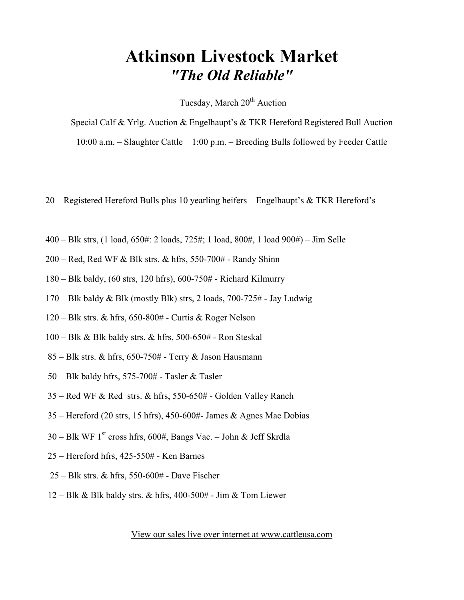# Atkinson Livestock Market "The Old Reliable"

Tuesday, March 20<sup>th</sup> Auction

Special Calf & Yrlg. Auction & Engelhaupt's & TKR Hereford Registered Bull Auction 10:00 a.m. – Slaughter Cattle 1:00 p.m. – Breeding Bulls followed by Feeder Cattle

20 – Registered Hereford Bulls plus 10 yearling heifers – Engelhaupt's & TKR Hereford's

- 400 Blk strs, (1 load, 650#: 2 loads, 725#; 1 load, 800#, 1 load 900#) Jim Selle
- 200 Red, Red WF & Blk strs. & hfrs, 550-700# Randy Shinn
- 180 Blk baldy, (60 strs, 120 hfrs), 600-750# Richard Kilmurry
- 170 Blk baldy & Blk (mostly Blk) strs, 2 loads, 700-725# Jay Ludwig
- 120 Blk strs. & hfrs, 650-800# Curtis & Roger Nelson
- 100 Blk & Blk baldy strs. & hfrs, 500-650# Ron Steskal
- 85 Blk strs. & hfrs, 650-750# Terry & Jason Hausmann
- $50 B$ lk baldy hfrs,  $575 700#$  Tasler & Tasler
- 35 Red WF & Red strs. & hfrs, 550-650# Golden Valley Ranch
- 35 Hereford (20 strs, 15 hfrs), 450-600#- James & Agnes Mae Dobias
- $30 B$ lk WF 1<sup>st</sup> cross hfrs, 600#, Bangs Vac. John & Jeff Skrdla
- 25 Hereford hfrs, 425-550# Ken Barnes
- 25 Blk strs. & hfrs, 550-600# Dave Fischer
- $12 B$ lk & Blk baldy strs. & hfrs, 400-500# Jim & Tom Liewer

View our sales live over internet at www.cattleusa.com